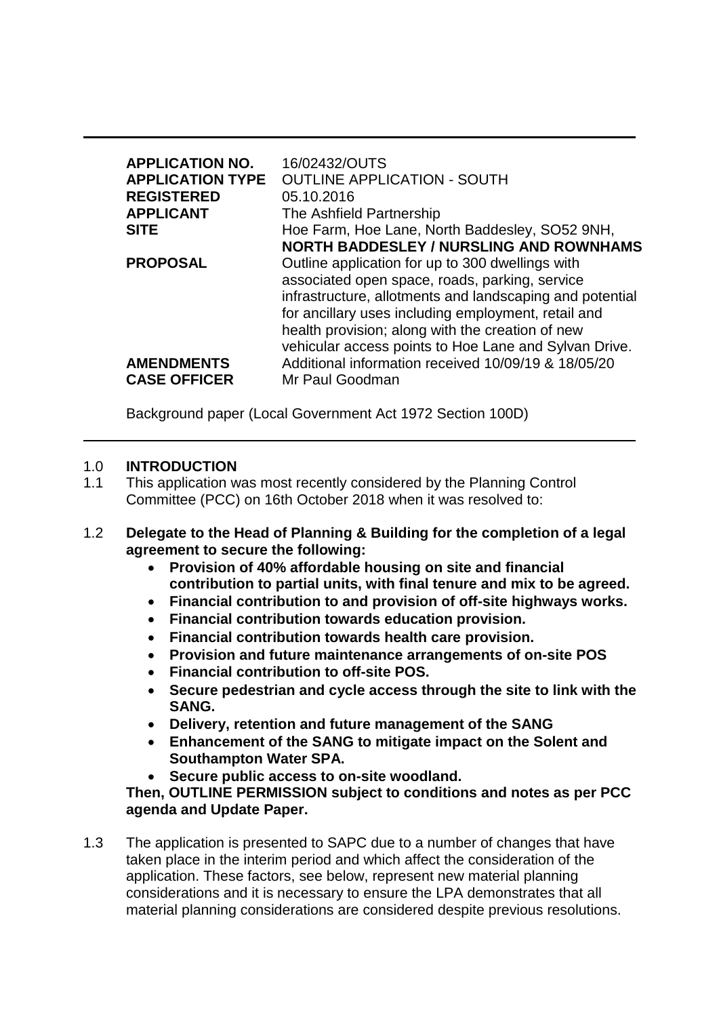| <b>APPLICATION NO.</b><br><b>APPLICATION TYPE</b><br><b>REGISTERED</b><br><b>APPLICANT</b><br><b>SITE</b> | 16/02432/OUTS<br><b>OUTLINE APPLICATION - SOUTH</b><br>05.10.2016<br>The Ashfield Partnership<br>Hoe Farm, Hoe Lane, North Baddesley, SO52 9NH,<br><b>NORTH BADDESLEY / NURSLING AND ROWNHAMS</b>                                                                                                                                                                                                            |  |
|-----------------------------------------------------------------------------------------------------------|--------------------------------------------------------------------------------------------------------------------------------------------------------------------------------------------------------------------------------------------------------------------------------------------------------------------------------------------------------------------------------------------------------------|--|
| <b>PROPOSAL</b><br><b>AMENDMENTS</b><br><b>CASE OFFICER</b>                                               | Outline application for up to 300 dwellings with<br>associated open space, roads, parking, service<br>infrastructure, allotments and landscaping and potential<br>for ancillary uses including employment, retail and<br>health provision; along with the creation of new<br>vehicular access points to Hoe Lane and Sylvan Drive.<br>Additional information received 10/09/19 & 18/05/20<br>Mr Paul Goodman |  |

Background paper (Local Government Act 1972 Section 100D)

#### 1.0 **INTRODUCTION**

- 1.1 This application was most recently considered by the Planning Control Committee (PCC) on 16th October 2018 when it was resolved to:
- 1.2 **Delegate to the Head of Planning & Building for the completion of a legal agreement to secure the following:**
	- **Provision of 40% affordable housing on site and financial contribution to partial units, with final tenure and mix to be agreed.**
	- **Financial contribution to and provision of off-site highways works.**
	- **Financial contribution towards education provision.**
	- **Financial contribution towards health care provision.**
	- **Provision and future maintenance arrangements of on-site POS**
	- **Financial contribution to off-site POS.**
	- **Secure pedestrian and cycle access through the site to link with the SANG.**
	- **Delivery, retention and future management of the SANG**
	- **Enhancement of the SANG to mitigate impact on the Solent and Southampton Water SPA.**
	- **Secure public access to on-site woodland.**

**Then, OUTLINE PERMISSION subject to conditions and notes as per PCC agenda and Update Paper.**

1.3 The application is presented to SAPC due to a number of changes that have taken place in the interim period and which affect the consideration of the application. These factors, see below, represent new material planning considerations and it is necessary to ensure the LPA demonstrates that all material planning considerations are considered despite previous resolutions.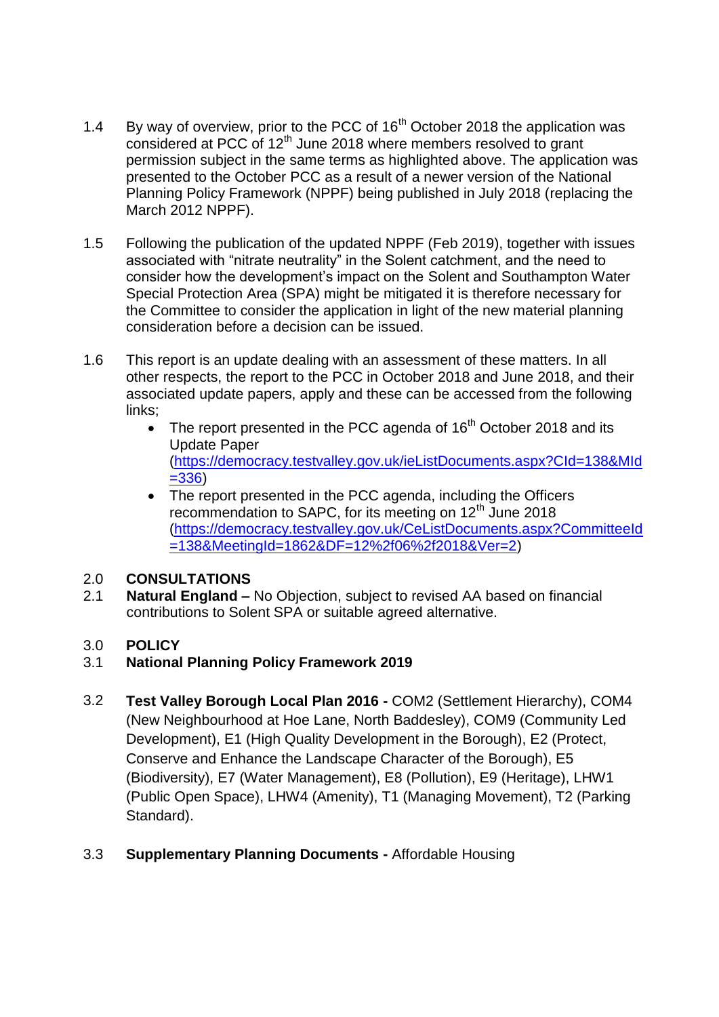- 1.4 By way of overview, prior to the PCC of  $16<sup>th</sup>$  October 2018 the application was considered at PCC of 12<sup>th</sup> June 2018 where members resolved to grant permission subject in the same terms as highlighted above. The application was presented to the October PCC as a result of a newer version of the National Planning Policy Framework (NPPF) being published in July 2018 (replacing the March 2012 NPPF).
- 1.5 Following the publication of the updated NPPF (Feb 2019), together with issues associated with "nitrate neutrality" in the Solent catchment, and the need to consider how the development's impact on the Solent and Southampton Water Special Protection Area (SPA) might be mitigated it is therefore necessary for the Committee to consider the application in light of the new material planning consideration before a decision can be issued.
- 1.6 This report is an update dealing with an assessment of these matters. In all other respects, the report to the PCC in October 2018 and June 2018, and their associated update papers, apply and these can be accessed from the following links;
	- The report presented in the PCC agenda of  $16<sup>th</sup>$  October 2018 and its Update Paper [\(https://democracy.testvalley.gov.uk/ieListDocuments.aspx?CId=138&MId](https://democracy.testvalley.gov.uk/ieListDocuments.aspx?CId=138&MId=336) [=336\)](https://democracy.testvalley.gov.uk/ieListDocuments.aspx?CId=138&MId=336)
	- The report presented in the PCC agenda, including the Officers recommendation to SAPC, for its meeting on 12<sup>th</sup> June 2018 [\(https://democracy.testvalley.gov.uk/CeListDocuments.aspx?CommitteeId](https://democracy.testvalley.gov.uk/CeListDocuments.aspx?CommitteeId=138&MeetingId=1862&DF=12%2f06%2f2018&Ver=2) [=138&MeetingId=1862&DF=12%2f06%2f2018&Ver=2\)](https://democracy.testvalley.gov.uk/CeListDocuments.aspx?CommitteeId=138&MeetingId=1862&DF=12%2f06%2f2018&Ver=2)

### 2.0 **CONSULTATIONS**

2.1 **Natural England –** No Objection, subject to revised AA based on financial contributions to Solent SPA or suitable agreed alternative.

# 3.0 **POLICY**

# 3.1 **National Planning Policy Framework 2019**

- 3.2 **Test Valley Borough Local Plan 2016 -** COM2 (Settlement Hierarchy), COM4 (New Neighbourhood at Hoe Lane, North Baddesley), COM9 (Community Led Development), E1 (High Quality Development in the Borough), E2 (Protect, Conserve and Enhance the Landscape Character of the Borough), E5 (Biodiversity), E7 (Water Management), E8 (Pollution), E9 (Heritage), LHW1 (Public Open Space), LHW4 (Amenity), T1 (Managing Movement), T2 (Parking Standard).
- 3.3 **Supplementary Planning Documents -** Affordable Housing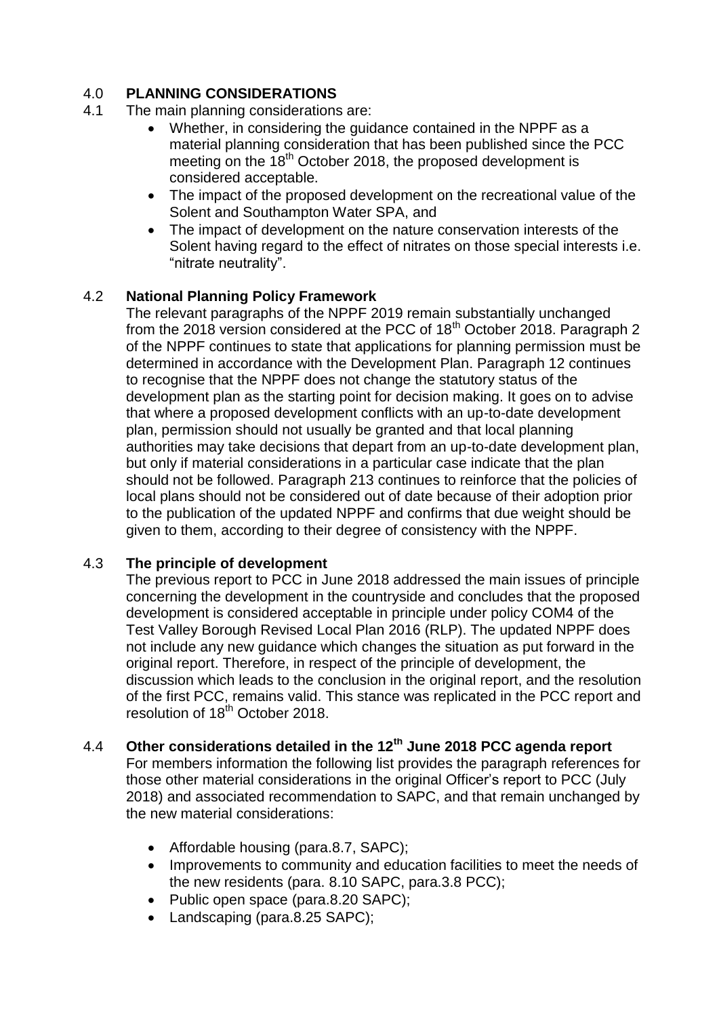## 4.0 **PLANNING CONSIDERATIONS**

- 4.1 The main planning considerations are:
	- Whether, in considering the guidance contained in the NPPF as a material planning consideration that has been published since the PCC meeting on the  $18<sup>th</sup>$  October 2018, the proposed development is considered acceptable.
	- The impact of the proposed development on the recreational value of the Solent and Southampton Water SPA, and
	- The impact of development on the nature conservation interests of the Solent having regard to the effect of nitrates on those special interests i.e. "nitrate neutrality".

### 4.2 **National Planning Policy Framework**

The relevant paragraphs of the NPPF 2019 remain substantially unchanged from the 2018 version considered at the PCC of 18th October 2018. Paragraph 2 of the NPPF continues to state that applications for planning permission must be determined in accordance with the Development Plan. Paragraph 12 continues to recognise that the NPPF does not change the statutory status of the development plan as the starting point for decision making. It goes on to advise that where a proposed development conflicts with an up-to-date development plan, permission should not usually be granted and that local planning authorities may take decisions that depart from an up-to-date development plan, but only if material considerations in a particular case indicate that the plan should not be followed. Paragraph 213 continues to reinforce that the policies of local plans should not be considered out of date because of their adoption prior to the publication of the updated NPPF and confirms that due weight should be given to them, according to their degree of consistency with the NPPF.

### 4.3 **The principle of development**

The previous report to PCC in June 2018 addressed the main issues of principle concerning the development in the countryside and concludes that the proposed development is considered acceptable in principle under policy COM4 of the Test Valley Borough Revised Local Plan 2016 (RLP). The updated NPPF does not include any new guidance which changes the situation as put forward in the original report. Therefore, in respect of the principle of development, the discussion which leads to the conclusion in the original report, and the resolution of the first PCC, remains valid. This stance was replicated in the PCC report and resolution of 18<sup>th</sup> October 2018.

# 4.4 **Other considerations detailed in the 12th June 2018 PCC agenda report**

For members information the following list provides the paragraph references for those other material considerations in the original Officer's report to PCC (July 2018) and associated recommendation to SAPC, and that remain unchanged by the new material considerations:

- Affordable housing (para.8.7, SAPC);
- Improvements to community and education facilities to meet the needs of the new residents (para. 8.10 SAPC, para.3.8 PCC);
- Public open space (para.8.20 SAPC);
- Landscaping (para.8.25 SAPC):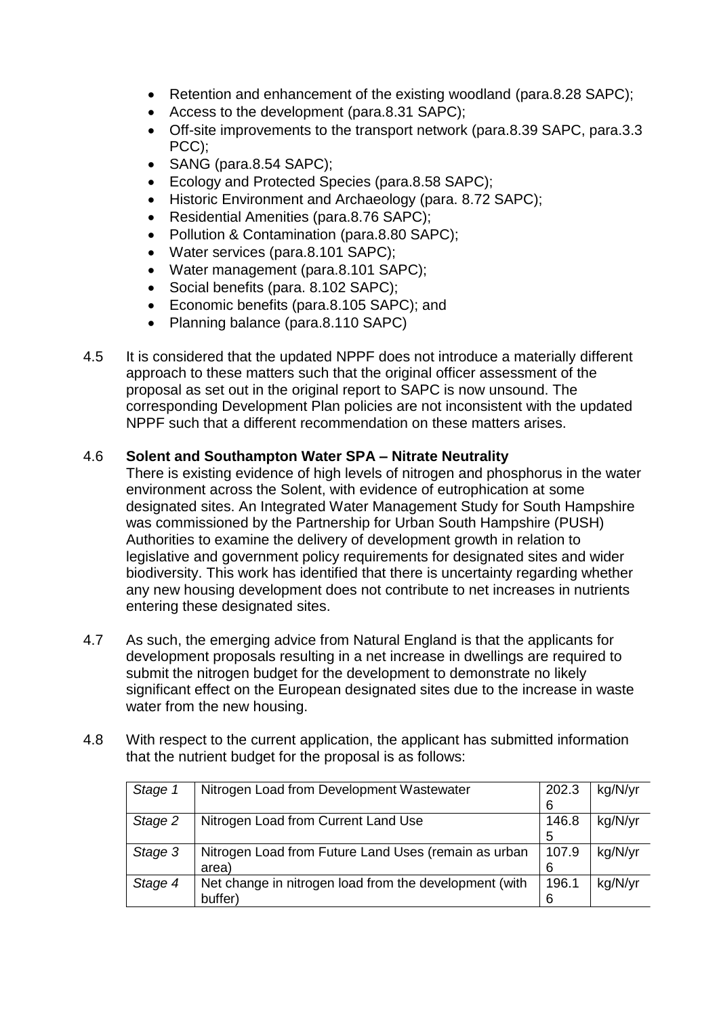- Retention and enhancement of the existing woodland (para.8.28 SAPC);
- Access to the development (para.8.31 SAPC);
- Off-site improvements to the transport network (para.8.39 SAPC, para.3.3 PCC);
- SANG (para.8.54 SAPC);
- Ecology and Protected Species (para.8.58 SAPC);
- Historic Environment and Archaeology (para. 8.72 SAPC);
- Residential Amenities (para.8.76 SAPC);
- Pollution & Contamination (para.8.80 SAPC);
- Water services (para.8.101 SAPC);
- Water management (para.8.101 SAPC);
- Social benefits (para, 8.102 SAPC):
- Economic benefits (para.8.105 SAPC); and
- Planning balance (para.8.110 SAPC)
- 4.5 It is considered that the updated NPPF does not introduce a materially different approach to these matters such that the original officer assessment of the proposal as set out in the original report to SAPC is now unsound. The corresponding Development Plan policies are not inconsistent with the updated NPPF such that a different recommendation on these matters arises.

#### 4.6 **Solent and Southampton Water SPA – Nitrate Neutrality**

There is existing evidence of high levels of nitrogen and phosphorus in the water environment across the Solent, with evidence of eutrophication at some designated sites. An Integrated Water Management Study for South Hampshire was commissioned by the Partnership for Urban South Hampshire (PUSH) Authorities to examine the delivery of development growth in relation to legislative and government policy requirements for designated sites and wider biodiversity. This work has identified that there is uncertainty regarding whether any new housing development does not contribute to net increases in nutrients entering these designated sites.

- 4.7 As such, the emerging advice from Natural England is that the applicants for development proposals resulting in a net increase in dwellings are required to submit the nitrogen budget for the development to demonstrate no likely significant effect on the European designated sites due to the increase in waste water from the new housing.
- 4.8 With respect to the current application, the applicant has submitted information that the nutrient budget for the proposal is as follows:

| Stage 1 | Nitrogen Load from Development Wastewater              | 202.3 | kg/N/yr |
|---------|--------------------------------------------------------|-------|---------|
|         |                                                        | 6     |         |
| Stage 2 | Nitrogen Load from Current Land Use                    | 146.8 | kg/N/yr |
|         |                                                        | 5     |         |
| Stage 3 | Nitrogen Load from Future Land Uses (remain as urban   | 107.9 | kg/N/yr |
|         | area)                                                  | 6     |         |
| Stage 4 | Net change in nitrogen load from the development (with | 196.1 | kg/N/yr |
|         | buffer)                                                | 6     |         |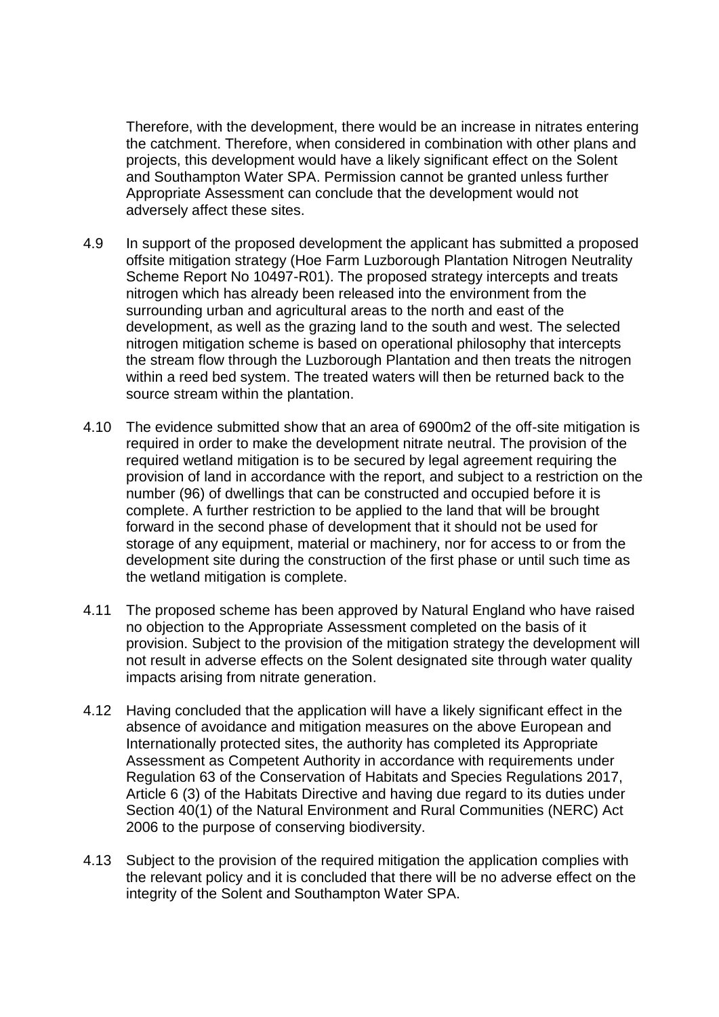Therefore, with the development, there would be an increase in nitrates entering the catchment. Therefore, when considered in combination with other plans and projects, this development would have a likely significant effect on the Solent and Southampton Water SPA. Permission cannot be granted unless further Appropriate Assessment can conclude that the development would not adversely affect these sites.

- 4.9 In support of the proposed development the applicant has submitted a proposed offsite mitigation strategy (Hoe Farm Luzborough Plantation Nitrogen Neutrality Scheme Report No 10497-R01). The proposed strategy intercepts and treats nitrogen which has already been released into the environment from the surrounding urban and agricultural areas to the north and east of the development, as well as the grazing land to the south and west. The selected nitrogen mitigation scheme is based on operational philosophy that intercepts the stream flow through the Luzborough Plantation and then treats the nitrogen within a reed bed system. The treated waters will then be returned back to the source stream within the plantation.
- 4.10 The evidence submitted show that an area of 6900m2 of the off-site mitigation is required in order to make the development nitrate neutral. The provision of the required wetland mitigation is to be secured by legal agreement requiring the provision of land in accordance with the report, and subject to a restriction on the number (96) of dwellings that can be constructed and occupied before it is complete. A further restriction to be applied to the land that will be brought forward in the second phase of development that it should not be used for storage of any equipment, material or machinery, nor for access to or from the development site during the construction of the first phase or until such time as the wetland mitigation is complete.
- 4.11 The proposed scheme has been approved by Natural England who have raised no objection to the Appropriate Assessment completed on the basis of it provision. Subject to the provision of the mitigation strategy the development will not result in adverse effects on the Solent designated site through water quality impacts arising from nitrate generation.
- 4.12 Having concluded that the application will have a likely significant effect in the absence of avoidance and mitigation measures on the above European and Internationally protected sites, the authority has completed its Appropriate Assessment as Competent Authority in accordance with requirements under Regulation 63 of the Conservation of Habitats and Species Regulations 2017, Article 6 (3) of the Habitats Directive and having due regard to its duties under Section 40(1) of the Natural Environment and Rural Communities (NERC) Act 2006 to the purpose of conserving biodiversity.
- 4.13 Subject to the provision of the required mitigation the application complies with the relevant policy and it is concluded that there will be no adverse effect on the integrity of the Solent and Southampton Water SPA.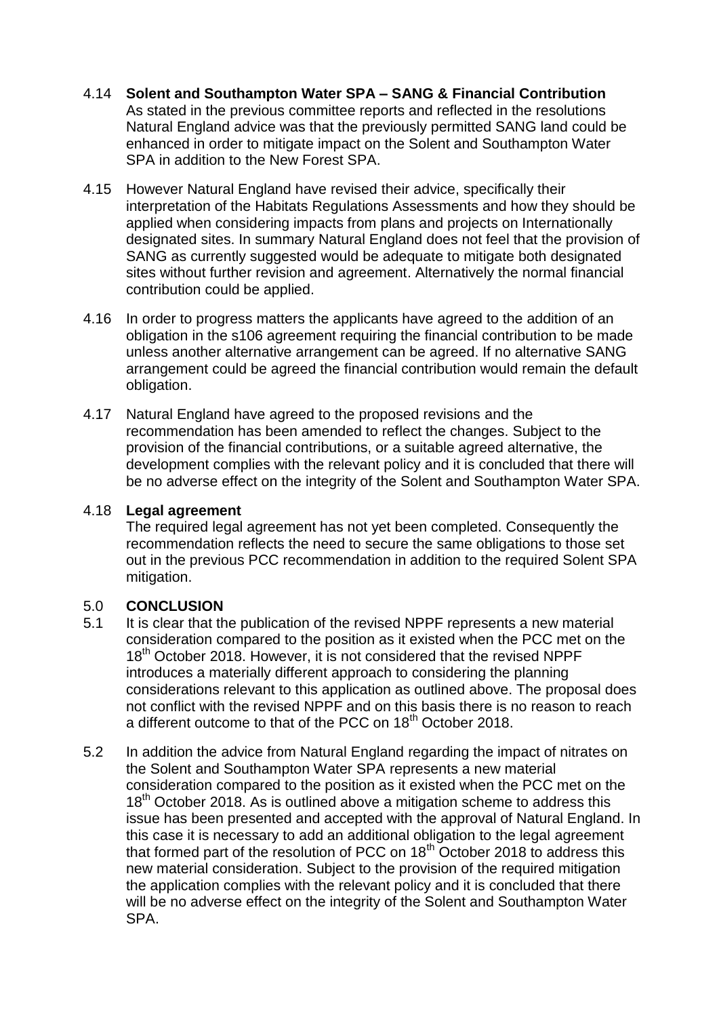- 4.14 **Solent and Southampton Water SPA – SANG & Financial Contribution** As stated in the previous committee reports and reflected in the resolutions Natural England advice was that the previously permitted SANG land could be enhanced in order to mitigate impact on the Solent and Southampton Water SPA in addition to the New Forest SPA.
- 4.15 However Natural England have revised their advice, specifically their interpretation of the Habitats Regulations Assessments and how they should be applied when considering impacts from plans and projects on Internationally designated sites. In summary Natural England does not feel that the provision of SANG as currently suggested would be adequate to mitigate both designated sites without further revision and agreement. Alternatively the normal financial contribution could be applied.
- 4.16 In order to progress matters the applicants have agreed to the addition of an obligation in the s106 agreement requiring the financial contribution to be made unless another alternative arrangement can be agreed. If no alternative SANG arrangement could be agreed the financial contribution would remain the default obligation.
- 4.17 Natural England have agreed to the proposed revisions and the recommendation has been amended to reflect the changes. Subject to the provision of the financial contributions, or a suitable agreed alternative, the development complies with the relevant policy and it is concluded that there will be no adverse effect on the integrity of the Solent and Southampton Water SPA.

#### 4.18 **Legal agreement**

The required legal agreement has not yet been completed. Consequently the recommendation reflects the need to secure the same obligations to those set out in the previous PCC recommendation in addition to the required Solent SPA mitigation.

### 5.0 **CONCLUSION**

- 5.1 It is clear that the publication of the revised NPPF represents a new material consideration compared to the position as it existed when the PCC met on the 18<sup>th</sup> October 2018. However, it is not considered that the revised NPPF introduces a materially different approach to considering the planning considerations relevant to this application as outlined above. The proposal does not conflict with the revised NPPF and on this basis there is no reason to reach a different outcome to that of the PCC on 18<sup>th</sup> October 2018.
- 5.2 In addition the advice from Natural England regarding the impact of nitrates on the Solent and Southampton Water SPA represents a new material consideration compared to the position as it existed when the PCC met on the 18<sup>th</sup> October 2018. As is outlined above a mitigation scheme to address this issue has been presented and accepted with the approval of Natural England. In this case it is necessary to add an additional obligation to the legal agreement that formed part of the resolution of PCC on  $18<sup>th</sup>$  October 2018 to address this new material consideration. Subject to the provision of the required mitigation the application complies with the relevant policy and it is concluded that there will be no adverse effect on the integrity of the Solent and Southampton Water SPA.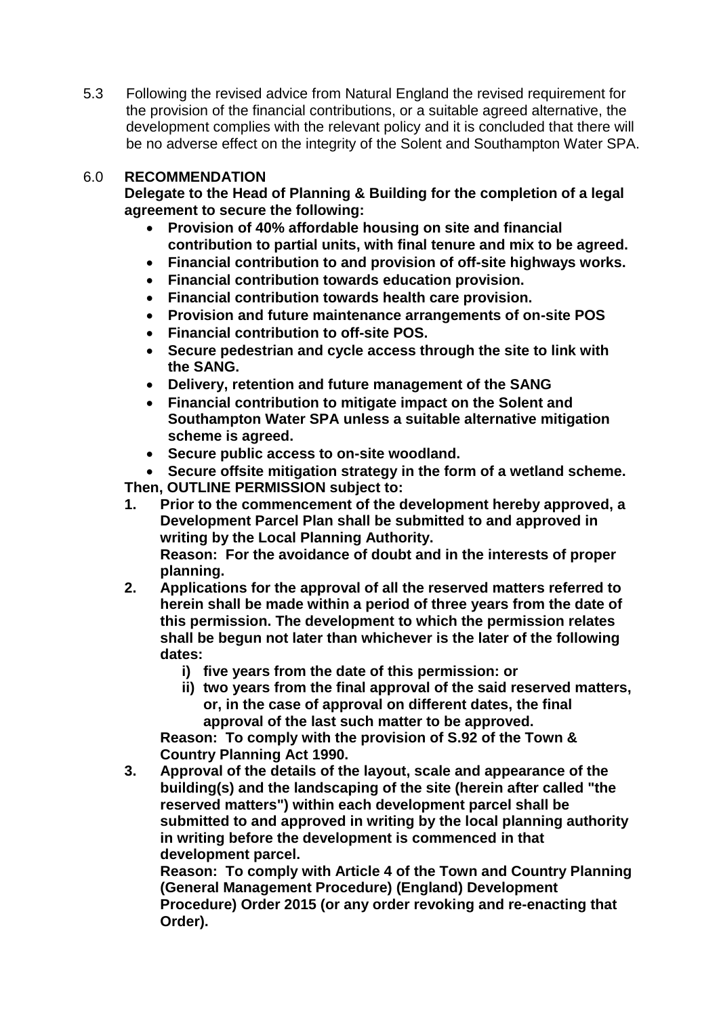5.3 Following the revised advice from Natural England the revised requirement for the provision of the financial contributions, or a suitable agreed alternative, the development complies with the relevant policy and it is concluded that there will be no adverse effect on the integrity of the Solent and Southampton Water SPA.

#### 6.0 **RECOMMENDATION**

**Delegate to the Head of Planning & Building for the completion of a legal agreement to secure the following:**

- **Provision of 40% affordable housing on site and financial contribution to partial units, with final tenure and mix to be agreed.**
- **Financial contribution to and provision of off-site highways works.**
- **Financial contribution towards education provision.**
- **Financial contribution towards health care provision.**
- **Provision and future maintenance arrangements of on-site POS**
- **Financial contribution to off-site POS.**
- **Secure pedestrian and cycle access through the site to link with the SANG.**
- **Delivery, retention and future management of the SANG**
- **Financial contribution to mitigate impact on the Solent and Southampton Water SPA unless a suitable alternative mitigation scheme is agreed.**
- **Secure public access to on-site woodland.**

 **Secure offsite mitigation strategy in the form of a wetland scheme. Then, OUTLINE PERMISSION subject to:**

- **1. Prior to the commencement of the development hereby approved, a Development Parcel Plan shall be submitted to and approved in writing by the Local Planning Authority. Reason: For the avoidance of doubt and in the interests of proper planning.**
- **2. Applications for the approval of all the reserved matters referred to herein shall be made within a period of three years from the date of this permission. The development to which the permission relates shall be begun not later than whichever is the later of the following dates:**
	- **i) five years from the date of this permission: or**
	- **ii) two years from the final approval of the said reserved matters, or, in the case of approval on different dates, the final approval of the last such matter to be approved.**

**Reason: To comply with the provision of S.92 of the Town & Country Planning Act 1990.**

**3. Approval of the details of the layout, scale and appearance of the building(s) and the landscaping of the site (herein after called "the reserved matters") within each development parcel shall be submitted to and approved in writing by the local planning authority in writing before the development is commenced in that development parcel.**

**Reason: To comply with Article 4 of the Town and Country Planning (General Management Procedure) (England) Development Procedure) Order 2015 (or any order revoking and re-enacting that Order).**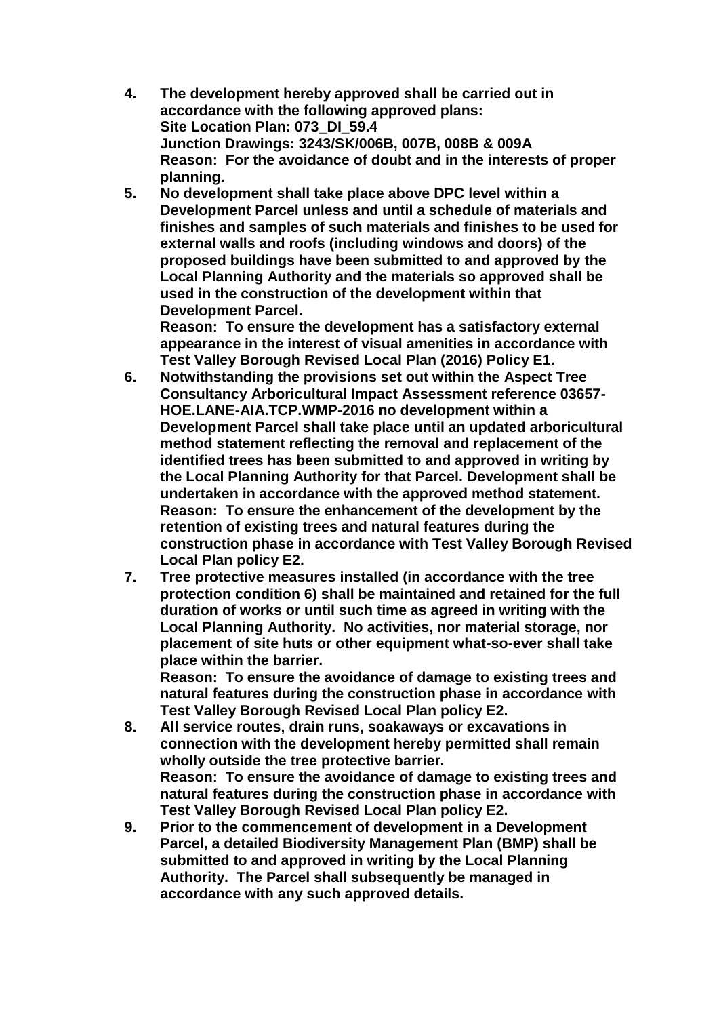- **4. The development hereby approved shall be carried out in accordance with the following approved plans: Site Location Plan: 073\_DI\_59.4 Junction Drawings: 3243/SK/006B, 007B, 008B & 009A Reason: For the avoidance of doubt and in the interests of proper planning.**
- **5. No development shall take place above DPC level within a Development Parcel unless and until a schedule of materials and finishes and samples of such materials and finishes to be used for external walls and roofs (including windows and doors) of the proposed buildings have been submitted to and approved by the Local Planning Authority and the materials so approved shall be used in the construction of the development within that Development Parcel.**

**Reason: To ensure the development has a satisfactory external appearance in the interest of visual amenities in accordance with Test Valley Borough Revised Local Plan (2016) Policy E1.**

- **6. Notwithstanding the provisions set out within the Aspect Tree Consultancy Arboricultural Impact Assessment reference 03657- HOE.LANE-AIA.TCP.WMP-2016 no development within a Development Parcel shall take place until an updated arboricultural method statement reflecting the removal and replacement of the identified trees has been submitted to and approved in writing by the Local Planning Authority for that Parcel. Development shall be undertaken in accordance with the approved method statement. Reason: To ensure the enhancement of the development by the retention of existing trees and natural features during the construction phase in accordance with Test Valley Borough Revised Local Plan policy E2.**
- **7. Tree protective measures installed (in accordance with the tree protection condition 6) shall be maintained and retained for the full duration of works or until such time as agreed in writing with the Local Planning Authority. No activities, nor material storage, nor placement of site huts or other equipment what-so-ever shall take place within the barrier.**

**Reason: To ensure the avoidance of damage to existing trees and natural features during the construction phase in accordance with Test Valley Borough Revised Local Plan policy E2.**

- **8. All service routes, drain runs, soakaways or excavations in connection with the development hereby permitted shall remain wholly outside the tree protective barrier. Reason: To ensure the avoidance of damage to existing trees and natural features during the construction phase in accordance with Test Valley Borough Revised Local Plan policy E2.**
- **9. Prior to the commencement of development in a Development Parcel, a detailed Biodiversity Management Plan (BMP) shall be submitted to and approved in writing by the Local Planning Authority. The Parcel shall subsequently be managed in accordance with any such approved details.**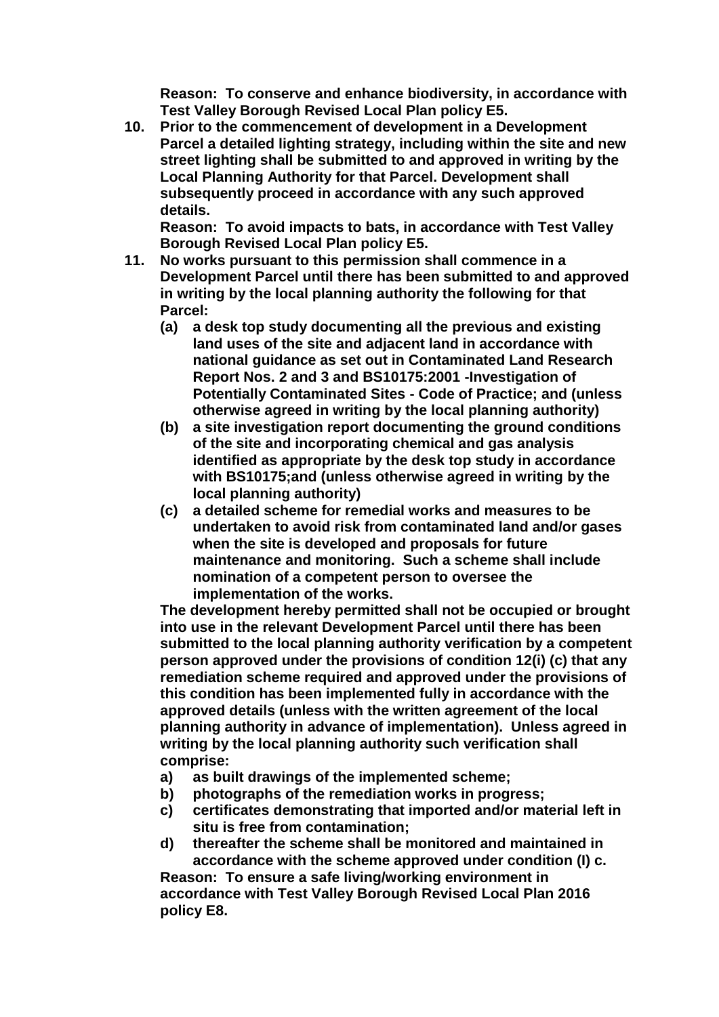**Reason: To conserve and enhance biodiversity, in accordance with Test Valley Borough Revised Local Plan policy E5.**

**10. Prior to the commencement of development in a Development Parcel a detailed lighting strategy, including within the site and new street lighting shall be submitted to and approved in writing by the Local Planning Authority for that Parcel. Development shall subsequently proceed in accordance with any such approved details.** 

**Reason: To avoid impacts to bats, in accordance with Test Valley Borough Revised Local Plan policy E5.** 

- **11. No works pursuant to this permission shall commence in a Development Parcel until there has been submitted to and approved in writing by the local planning authority the following for that Parcel:**
	- **(a) a desk top study documenting all the previous and existing land uses of the site and adjacent land in accordance with national guidance as set out in Contaminated Land Research Report Nos. 2 and 3 and BS10175:2001 -Investigation of Potentially Contaminated Sites - Code of Practice; and (unless otherwise agreed in writing by the local planning authority)**
	- **(b) a site investigation report documenting the ground conditions of the site and incorporating chemical and gas analysis identified as appropriate by the desk top study in accordance with BS10175;and (unless otherwise agreed in writing by the local planning authority)**
	- **(c) a detailed scheme for remedial works and measures to be undertaken to avoid risk from contaminated land and/or gases when the site is developed and proposals for future maintenance and monitoring. Such a scheme shall include nomination of a competent person to oversee the implementation of the works.**

**The development hereby permitted shall not be occupied or brought into use in the relevant Development Parcel until there has been submitted to the local planning authority verification by a competent person approved under the provisions of condition 12(i) (c) that any remediation scheme required and approved under the provisions of this condition has been implemented fully in accordance with the approved details (unless with the written agreement of the local planning authority in advance of implementation). Unless agreed in writing by the local planning authority such verification shall comprise:**

- **a) as built drawings of the implemented scheme;**
- **b) photographs of the remediation works in progress;**
- **c) certificates demonstrating that imported and/or material left in situ is free from contamination;**
- **d) thereafter the scheme shall be monitored and maintained in accordance with the scheme approved under condition (I) c.**

**Reason: To ensure a safe living/working environment in accordance with Test Valley Borough Revised Local Plan 2016 policy E8.**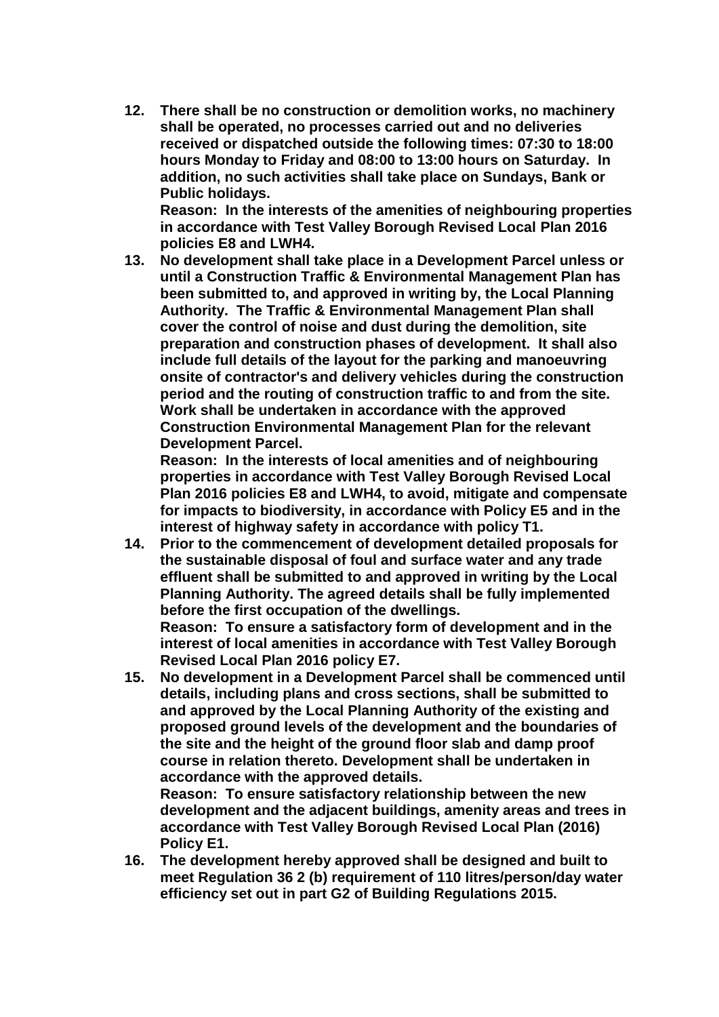**12. There shall be no construction or demolition works, no machinery shall be operated, no processes carried out and no deliveries received or dispatched outside the following times: 07:30 to 18:00 hours Monday to Friday and 08:00 to 13:00 hours on Saturday. In addition, no such activities shall take place on Sundays, Bank or Public holidays.**

**Reason: In the interests of the amenities of neighbouring properties in accordance with Test Valley Borough Revised Local Plan 2016 policies E8 and LWH4.**

**13. No development shall take place in a Development Parcel unless or until a Construction Traffic & Environmental Management Plan has been submitted to, and approved in writing by, the Local Planning Authority. The Traffic & Environmental Management Plan shall cover the control of noise and dust during the demolition, site preparation and construction phases of development. It shall also include full details of the layout for the parking and manoeuvring onsite of contractor's and delivery vehicles during the construction period and the routing of construction traffic to and from the site. Work shall be undertaken in accordance with the approved Construction Environmental Management Plan for the relevant Development Parcel.** 

**Reason: In the interests of local amenities and of neighbouring properties in accordance with Test Valley Borough Revised Local Plan 2016 policies E8 and LWH4, to avoid, mitigate and compensate for impacts to biodiversity, in accordance with Policy E5 and in the interest of highway safety in accordance with policy T1.**

**14. Prior to the commencement of development detailed proposals for the sustainable disposal of foul and surface water and any trade effluent shall be submitted to and approved in writing by the Local Planning Authority. The agreed details shall be fully implemented before the first occupation of the dwellings.**

**Reason: To ensure a satisfactory form of development and in the interest of local amenities in accordance with Test Valley Borough Revised Local Plan 2016 policy E7.** 

**15. No development in a Development Parcel shall be commenced until details, including plans and cross sections, shall be submitted to and approved by the Local Planning Authority of the existing and proposed ground levels of the development and the boundaries of the site and the height of the ground floor slab and damp proof course in relation thereto. Development shall be undertaken in accordance with the approved details.**

**Reason: To ensure satisfactory relationship between the new development and the adjacent buildings, amenity areas and trees in accordance with Test Valley Borough Revised Local Plan (2016) Policy E1.** 

**16. The development hereby approved shall be designed and built to meet Regulation 36 2 (b) requirement of 110 litres/person/day water efficiency set out in part G2 of Building Regulations 2015.**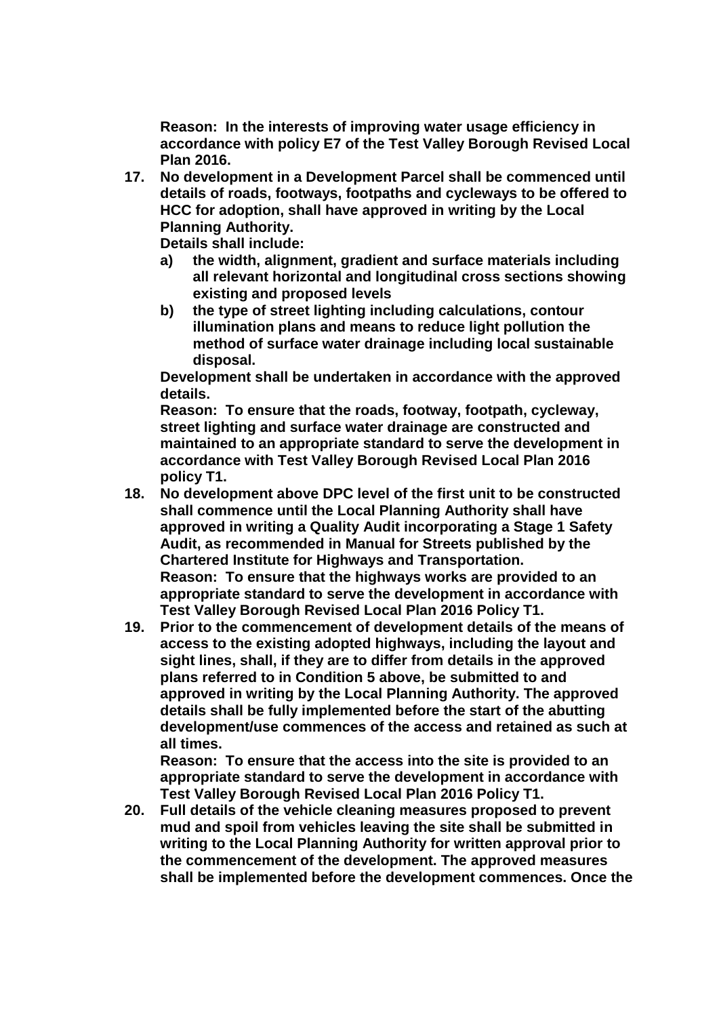**Reason: In the interests of improving water usage efficiency in accordance with policy E7 of the Test Valley Borough Revised Local Plan 2016.**

**17. No development in a Development Parcel shall be commenced until details of roads, footways, footpaths and cycleways to be offered to HCC for adoption, shall have approved in writing by the Local Planning Authority.**

**Details shall include:** 

- **a) the width, alignment, gradient and surface materials including all relevant horizontal and longitudinal cross sections showing existing and proposed levels**
- **b) the type of street lighting including calculations, contour illumination plans and means to reduce light pollution the method of surface water drainage including local sustainable disposal.**

**Development shall be undertaken in accordance with the approved details.**

**Reason: To ensure that the roads, footway, footpath, cycleway, street lighting and surface water drainage are constructed and maintained to an appropriate standard to serve the development in accordance with Test Valley Borough Revised Local Plan 2016 policy T1.**

- **18. No development above DPC level of the first unit to be constructed shall commence until the Local Planning Authority shall have approved in writing a Quality Audit incorporating a Stage 1 Safety Audit, as recommended in Manual for Streets published by the Chartered Institute for Highways and Transportation. Reason: To ensure that the highways works are provided to an appropriate standard to serve the development in accordance with Test Valley Borough Revised Local Plan 2016 Policy T1.**
- **19. Prior to the commencement of development details of the means of access to the existing adopted highways, including the layout and sight lines, shall, if they are to differ from details in the approved plans referred to in Condition 5 above, be submitted to and approved in writing by the Local Planning Authority. The approved details shall be fully implemented before the start of the abutting development/use commences of the access and retained as such at all times.**

**Reason: To ensure that the access into the site is provided to an appropriate standard to serve the development in accordance with Test Valley Borough Revised Local Plan 2016 Policy T1.**

**20. Full details of the vehicle cleaning measures proposed to prevent mud and spoil from vehicles leaving the site shall be submitted in writing to the Local Planning Authority for written approval prior to the commencement of the development. The approved measures shall be implemented before the development commences. Once the**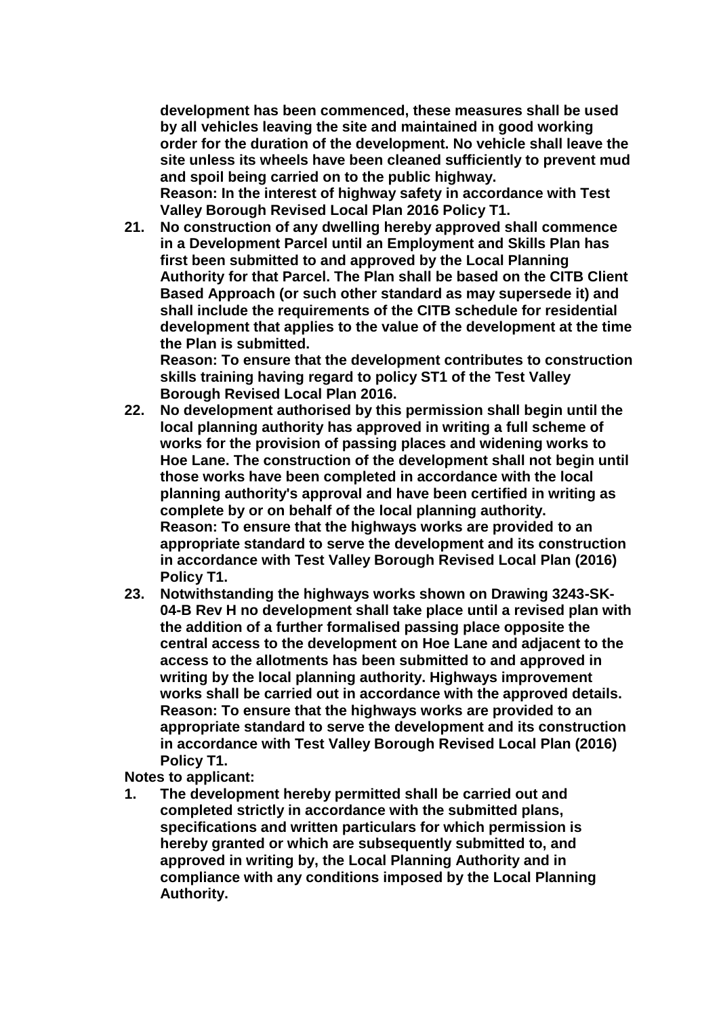**development has been commenced, these measures shall be used by all vehicles leaving the site and maintained in good working order for the duration of the development. No vehicle shall leave the site unless its wheels have been cleaned sufficiently to prevent mud and spoil being carried on to the public highway.**

**Reason: In the interest of highway safety in accordance with Test Valley Borough Revised Local Plan 2016 Policy T1.**

**21. No construction of any dwelling hereby approved shall commence in a Development Parcel until an Employment and Skills Plan has first been submitted to and approved by the Local Planning Authority for that Parcel. The Plan shall be based on the CITB Client Based Approach (or such other standard as may supersede it) and shall include the requirements of the CITB schedule for residential development that applies to the value of the development at the time the Plan is submitted.** 

**Reason: To ensure that the development contributes to construction skills training having regard to policy ST1 of the Test Valley Borough Revised Local Plan 2016.**

- **22. No development authorised by this permission shall begin until the local planning authority has approved in writing a full scheme of works for the provision of passing places and widening works to Hoe Lane. The construction of the development shall not begin until those works have been completed in accordance with the local planning authority's approval and have been certified in writing as complete by or on behalf of the local planning authority. Reason: To ensure that the highways works are provided to an appropriate standard to serve the development and its construction in accordance with Test Valley Borough Revised Local Plan (2016) Policy T1.**
- **23. Notwithstanding the highways works shown on Drawing 3243-SK-04-B Rev H no development shall take place until a revised plan with the addition of a further formalised passing place opposite the central access to the development on Hoe Lane and adjacent to the access to the allotments has been submitted to and approved in writing by the local planning authority. Highways improvement works shall be carried out in accordance with the approved details. Reason: To ensure that the highways works are provided to an appropriate standard to serve the development and its construction in accordance with Test Valley Borough Revised Local Plan (2016) Policy T1.**

**Notes to applicant:**

**1. The development hereby permitted shall be carried out and completed strictly in accordance with the submitted plans, specifications and written particulars for which permission is hereby granted or which are subsequently submitted to, and approved in writing by, the Local Planning Authority and in compliance with any conditions imposed by the Local Planning Authority.**